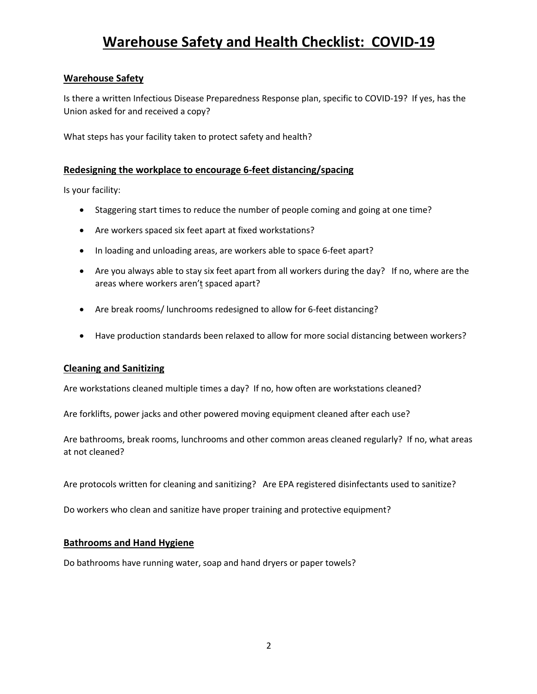## **Warehouse Safety**

Is there a written Infectious Disease Preparedness Response plan, specific to COVID-19? If yes, has the Union asked for and received a copy?

What steps has your facility taken to protect safety and health?

## **Redesigning the workplace to encourage 6-feet distancing/spacing**

Is your facility:

- Staggering start times to reduce the number of people coming and going at one time?
- Are workers spaced six feet apart at fixed workstations?
- In loading and unloading areas, are workers able to space 6-feet apart?
- Are you always able to stay six feet apart from all workers during the day? If no, where are the areas where workers aren't spaced apart?
- Are break rooms/ lunchrooms redesigned to allow for 6-feet distancing?
- Have production standards been relaxed to allow for more social distancing between workers?

### **Cleaning and Sanitizing**

Are workstations cleaned multiple times a day? If no, how often are workstations cleaned?

Are forklifts, power jacks and other powered moving equipment cleaned after each use?

Are bathrooms, break rooms, lunchrooms and other common areas cleaned regularly? If no, what areas at not cleaned?

Are protocols written for cleaning and sanitizing? Are EPA registered disinfectants used to sanitize?

Do workers who clean and sanitize have proper training and protective equipment?

### **Bathrooms and Hand Hygiene**

Do bathrooms have running water, soap and hand dryers or paper towels?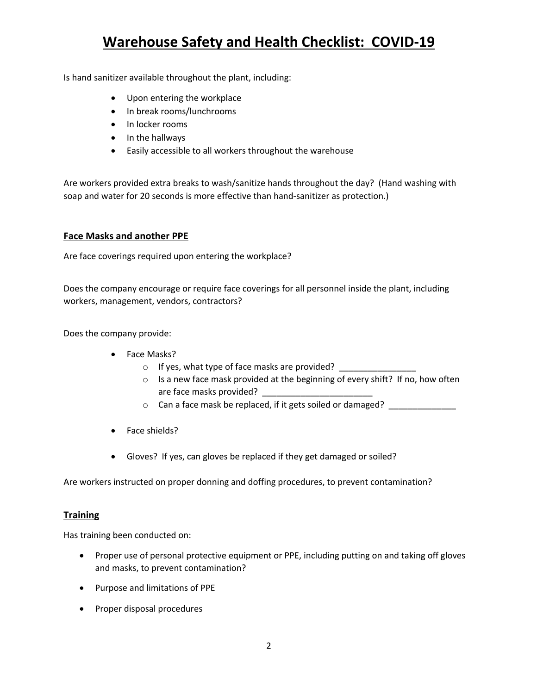Is hand sanitizer available throughout the plant, including:

- Upon entering the workplace
- In break rooms/lunchrooms
- In locker rooms
- In the hallways
- Easily accessible to all workers throughout the warehouse

Are workers provided extra breaks to wash/sanitize hands throughout the day? (Hand washing with soap and water for 20 seconds is more effective than hand-sanitizer as protection.)

## **Face Masks and another PPE**

Are face coverings required upon entering the workplace?

Does the company encourage or require face coverings for all personnel inside the plant, including workers, management, vendors, contractors?

Does the company provide:

- Face Masks?
	- $\circ$  If yes, what type of face masks are provided?
	- o Is a new face mask provided at the beginning of every shift? If no, how often are face masks provided?
	- o Can a face mask be replaced, if it gets soiled or damaged? \_\_\_\_\_\_\_\_\_\_\_\_
- Face shields?
- Gloves? If yes, can gloves be replaced if they get damaged or soiled?

Are workers instructed on proper donning and doffing procedures, to prevent contamination?

### **Training**

Has training been conducted on:

- Proper use of personal protective equipment or PPE, including putting on and taking off gloves and masks, to prevent contamination?
- Purpose and limitations of PPE
- Proper disposal procedures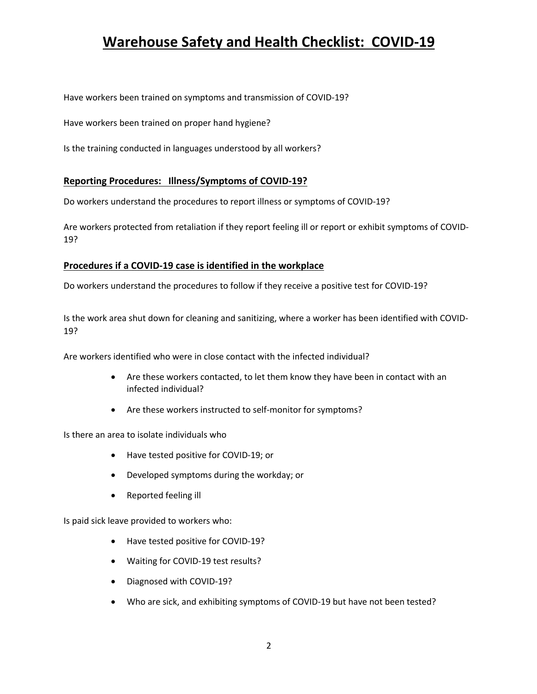Have workers been trained on symptoms and transmission of COVID-19?

Have workers been trained on proper hand hygiene?

Is the training conducted in languages understood by all workers?

### **Reporting Procedures: Illness/Symptoms of COVID-19?**

Do workers understand the procedures to report illness or symptoms of COVID-19?

Are workers protected from retaliation if they report feeling ill or report or exhibit symptoms of COVID-19?

### **Procedures if a COVID-19 case is identified in the workplace**

Do workers understand the procedures to follow if they receive a positive test for COVID-19?

Is the work area shut down for cleaning and sanitizing, where a worker has been identified with COVID-19?

Are workers identified who were in close contact with the infected individual?

- Are these workers contacted, to let them know they have been in contact with an infected individual?
- Are these workers instructed to self-monitor for symptoms?

Is there an area to isolate individuals who

- Have tested positive for COVID-19; or
- Developed symptoms during the workday; or
- Reported feeling ill

Is paid sick leave provided to workers who:

- Have tested positive for COVID-19?
- Waiting for COVID-19 test results?
- Diagnosed with COVID-19?
- Who are sick, and exhibiting symptoms of COVID-19 but have not been tested?